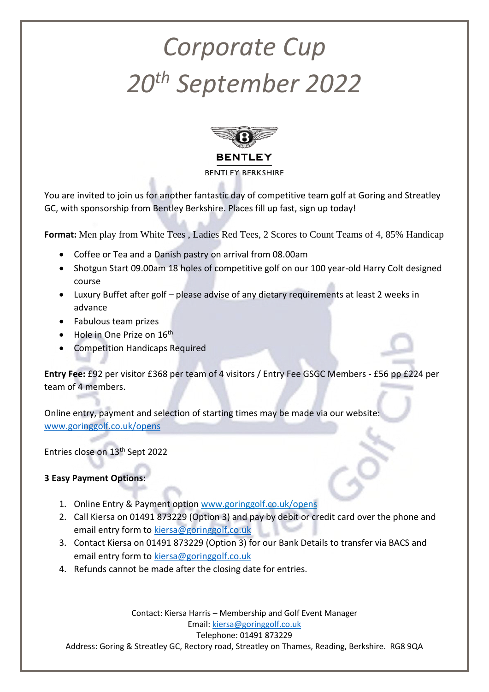## *Corporate Cup 20th September 2022*



You are invited to join us for another fantastic day of competitive team golf at Goring and Streatley GC, with sponsorship from Bentley Berkshire. Places fill up fast, sign up today!

**Format:** Men play from White Tees , Ladies Red Tees, 2 Scores to Count Teams of 4, 85% Handicap

- Coffee or Tea and a Danish pastry on arrival from 08.00am
- Shotgun Start 09.00am 18 holes of competitive golf on our 100 year-old Harry Colt designed course
- Luxury Buffet after golf please advise of any dietary requirements at least 2 weeks in advance
- Fabulous team prizes
- Hole in One Prize on  $16<sup>th</sup>$
- Competition Handicaps Required

**Entry Fee:** £92 per visitor £368 per team of 4 visitors / Entry Fee GSGC Members - £56 pp £224 per team of 4 members.

Online entry, payment and selection of starting times may be made via our website: [www.goringgolf.co.uk/opens](file:///C:/Users/Keirsa/AppData/Local/Microsoft/Windows/Temporary%20Internet%20Files/Content.Outlook/95XU5X4Z/www.goringgolf.co.uk/opens)

Entries close on 13th Sept 2022

## **3 Easy Payment Options:**

- 1. Online Entry & Payment option www.goringgolf.co.uk/opens
- 2. Call Kiersa on 01491 873229 (Option 3) and pay by debit or credit card over the phone and email entry form to [kiersa@goringgolf.co.uk](mailto:kiersa@goringgolf.co.uk)
- 3. Contact Kiersa on 01491 873229 (Option 3) for our Bank Details to transfer via BACS and email entry form to [kiersa@goringgolf.co.uk](mailto:kiersa@goringgolf.co.uk)
- 4. Refunds cannot be made after the closing date for entries.

Contact: Kiersa Harris – Membership and Golf Event Manager Email[: kiersa@goringgolf.co.uk](mailto:kiersa@goringgolf.co.uk) Telephone: 01491 873229 Address: Goring & Streatley GC, Rectory road, Streatley on Thames, Reading, Berkshire. RG8 9QA